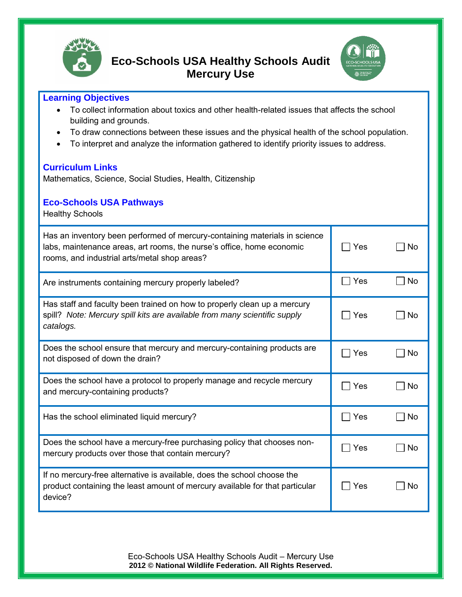



## **Learning Objectives**

- To collect information about toxics and other health-related issues that affects the school building and grounds.
- To draw connections between these issues and the physical health of the school population.
- To interpret and analyze the information gathered to identify priority issues to address.

## **Curriculum Links**

Mathematics, Science, Social Studies, Health, Citizenship

## **Eco-Schools USA Pathways**

Healthy Schools

| Has an inventory been performed of mercury-containing materials in science<br>labs, maintenance areas, art rooms, the nurse's office, home economic<br>rooms, and industrial arts/metal shop areas? | Yes | <b>No</b> |
|-----------------------------------------------------------------------------------------------------------------------------------------------------------------------------------------------------|-----|-----------|
| Are instruments containing mercury properly labeled?                                                                                                                                                | Yes | No        |
| Has staff and faculty been trained on how to properly clean up a mercury<br>spill? Note: Mercury spill kits are available from many scientific supply<br>catalogs.                                  | Yes | No        |
| Does the school ensure that mercury and mercury-containing products are<br>not disposed of down the drain?                                                                                          | Yes | No        |
| Does the school have a protocol to properly manage and recycle mercury<br>and mercury-containing products?                                                                                          | Yes | No        |
| Has the school eliminated liquid mercury?                                                                                                                                                           | Yes | <b>No</b> |
| Does the school have a mercury-free purchasing policy that chooses non-<br>mercury products over those that contain mercury?                                                                        | Yes | No        |
| If no mercury-free alternative is available, does the school choose the<br>product containing the least amount of mercury available for that particular<br>device?                                  | Yes | No        |

Eco-Schools USA Healthy Schools Audit – Mercury Use **2012 © National Wildlife Federation. All Rights Reserved.**